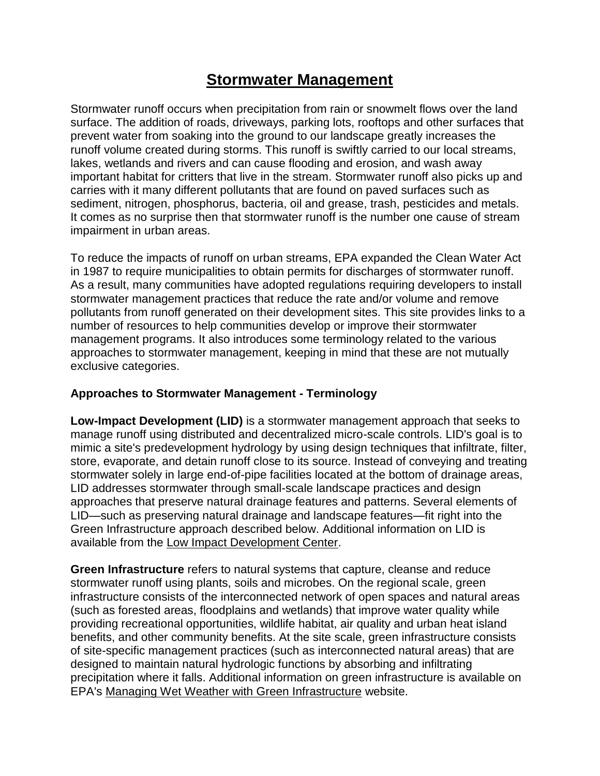## **[Stormwater Management](http://www.cwp.org/2013-04-05-16-15-03/stormwater-management)**

Stormwater runoff occurs when precipitation from rain or snowmelt flows over the land surface. The addition of roads, driveways, parking lots, rooftops and other surfaces that prevent water from soaking into the ground to our landscape greatly increases the runoff volume created during storms. This runoff is swiftly carried to our local streams, lakes, wetlands and rivers and can cause flooding and erosion, and wash away important habitat for critters that live in the stream. Stormwater runoff also picks up and carries with it many different pollutants that are found on paved surfaces such as sediment, nitrogen, phosphorus, bacteria, oil and grease, trash, pesticides and metals. It comes as no surprise then that stormwater runoff is the number one cause of stream impairment in urban areas.

To reduce the impacts of runoff on urban streams, EPA expanded the Clean Water Act in 1987 to require municipalities to obtain permits for discharges of stormwater runoff. As a result, many communities have adopted regulations requiring developers to install stormwater management practices that reduce the rate and/or volume and remove pollutants from runoff generated on their development sites. This site provides links to a number of resources to help communities develop or improve their stormwater management programs. It also introduces some terminology related to the various approaches to stormwater management, keeping in mind that these are not mutually exclusive categories.

## **Approaches to Stormwater Management - Terminology**

**Low-Impact Development (LID)** is a stormwater management approach that seeks to manage runoff using distributed and decentralized micro-scale controls. LID's goal is to mimic a site's predevelopment hydrology by using design techniques that infiltrate, filter, store, evaporate, and detain runoff close to its source. Instead of conveying and treating stormwater solely in large end-of-pipe facilities located at the bottom of drainage areas, LID addresses stormwater through small-scale landscape practices and design approaches that preserve natural drainage features and patterns. Several elements of LID—such as preserving natural drainage and landscape features—fit right into the Green Infrastructure approach described below. Additional information on LID is available from the [Low Impact Development Center.](http://www.lowimpactdevelopment.org/)

**Green Infrastructure** refers to natural systems that capture, cleanse and reduce stormwater runoff using plants, soils and microbes. On the regional scale, green infrastructure consists of the interconnected network of open spaces and natural areas (such as forested areas, floodplains and wetlands) that improve water quality while providing recreational opportunities, wildlife habitat, air quality and urban heat island benefits, and other community benefits. At the site scale, green infrastructure consists of site-specific management practices (such as interconnected natural areas) that are designed to maintain natural hydrologic functions by absorbing and infiltrating precipitation where it falls. Additional information on green infrastructure is available on EPA's [Managing Wet Weather with Green Infrastructure](http://cfpub.epa.gov/npdes/home.cfm?program_id=298) website.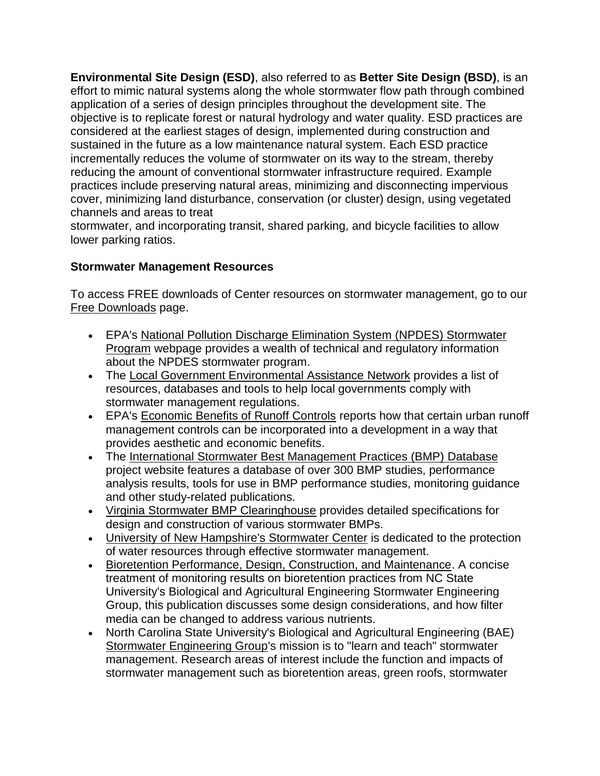**Environmental Site Design (ESD)**, also referred to as **Better Site Design (BSD)**, is an effort to mimic natural systems along the whole stormwater flow path through combined application of a series of design principles throughout the development site. The objective is to replicate forest or natural hydrology and water quality. ESD practices are considered at the earliest stages of design, implemented during construction and sustained in the future as a low maintenance natural system. Each ESD practice incrementally reduces the volume of stormwater on its way to the stream, thereby reducing the amount of conventional stormwater infrastructure required. Example practices include preserving natural areas, minimizing and disconnecting impervious cover, minimizing land disturbance, conservation (or cluster) design, using vegetated channels and areas to treat

stormwater, and incorporating transit, shared parking, and bicycle facilities to allow lower parking ratios.

## **Stormwater Management Resources**

To access FREE downloads of Center resources on stormwater management, go to our [Free Downloads](http://www.cwp.org/2015-03-19-18-18-00/online-watershed-library-owl) page.

- EPA's [National Pollution Discharge Elimination System \(NPDES\) Stormwater](http://cfpub.epa.gov/npdes/home.cfm?program_id=6)  [Program](http://cfpub.epa.gov/npdes/home.cfm?program_id=6) webpage provides a wealth of technical and regulatory information about the NPDES stormwater program.
- The [Local Government Environmental Assistance Network](http://www.lgean.org/water/stormwater.htm) provides a list of resources, databases and tools to help local governments comply with stormwater management regulations.
- **EPA's [Economic Benefits of Runoff Controls](http://www.epa.gov/OWOW/NPS/runoff.html) reports how that certain urban runoff** management controls can be incorporated into a development in a way that provides aesthetic and economic benefits.
- The [International Stormwater Best Management Practices \(BMP\) Database](http://www.bmpdatabase.org/) project website features a database of over 300 BMP studies, performance analysis results, tools for use in BMP performance studies, monitoring guidance and other study-related publications.
- [Virginia Stormwater BMP Clearinghouse](http://www.vwrrc.vt.edu/swc/NonProprietaryBMPs.html) provides detailed specifications for design and construction of various stormwater BMPs.
- [University of New Hampshire's Stormwater Center](http://www.unh.edu/unhsc/) is dedicated to the protection of water resources through effective stormwater management.
- **[Bioretention Performance, Design, Construction, and Maintenance.](http://www.bae.ncsu.edu/stormwater/PublicationFiles/Bioretention2006.pdf) A concise** treatment of monitoring results on bioretention practices from NC State University's Biological and Agricultural Engineering Stormwater Engineering Group, this publication discusses some design considerations, and how filter media can be changed to address various nutrients.
- North Carolina State University's Biological and Agricultural Engineering (BAE) [Stormwater Engineering Group's](http://www.bae.ncsu.edu/stormwater/) mission is to "learn and teach" stormwater management. Research areas of interest include the function and impacts of stormwater management such as bioretention areas, green roofs, stormwater